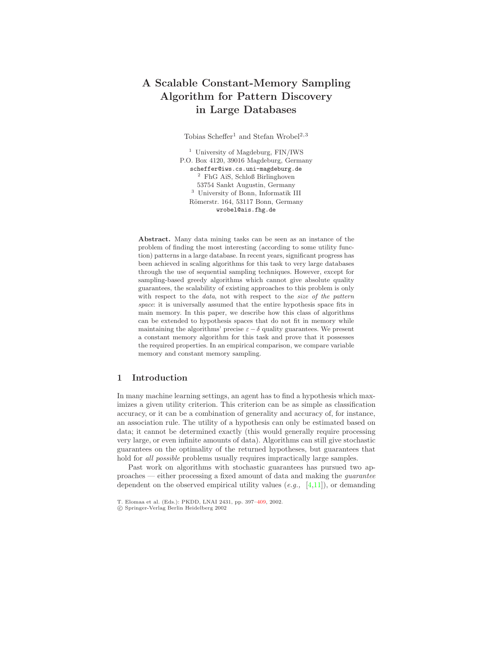# <span id="page-0-0"></span>**A Scalable Constant-Memory Sampling Algorithm for Pattern Discovery in Large Databases**

Tobias Scheffer<sup>1</sup> and Stefan Wrobel<sup>2,3</sup>

<sup>1</sup> University of Magdeburg, FIN/IWS P.O. Box 4120, 39016 Magdeburg, Germany scheffer@iws.cs.uni-magdeburg.de <sup>2</sup> FhG AiS, Schloß Birlinghoven 53754 Sankt Augustin, Germany <sup>3</sup> University of Bonn, Informatik III Römerstr. 164, 53117 Bonn, Germany wrobel@ais.fhg.de

**Abstract.** Many data mining tasks can be seen as an instance of the problem of finding the most interesting (according to some utility function) patterns in a large database. In recent years, significant progress has been achieved in scaling algorithms for this task to very large databases through the use of sequential sampling techniques. However, except for sampling-based greedy algorithms which cannot give absolute quality guarantees, the scalability of existing approaches to this problem is only with respect to the *data*, not with respect to the *size of the pattern space*: it is universally assumed that the entire hypothesis space fits in main memory. In this paper, we describe how this class of algorithms can be extended to hypothesis spaces that do not fit in memory while maintaining the algorithms' precise  $\varepsilon - \delta$  quality guarantees. We present a constant memory algorithm for this task and prove that it possesses the required properties. In an empirical comparison, we compare variable memory and constant memory sampling.

## **1 Introduction**

In many machine learning settings, an agent has to find a hypothesis which maximizes a given utility criterion.This criterion can be as simple as classification accuracy, or it can be a combination of generality and accuracy of, for instance, an association rule.The utility of a hypothesis can only be estimated based on data; it cannot be determined exactly (this would generally require processing very large, or even infinite amounts of data).Algorithms can still give stochastic guarantees on the optimality of the returned hypotheses, but guarantees that hold for *all possible* problems usually requires impractically large samples.

Past work on algorithms with stochastic guarantees has pursued two approaches — either processing a fixed amount of data and making the *guarantee* dependent on the observed empirical utility values (*e.g.,* [4,11]), or demanding

T. Elomaa et al. (Eds.): PKDD, LNAI 2431, pp. 397–409, 2002.

c Springer-Verlag Berlin Heidelberg 2002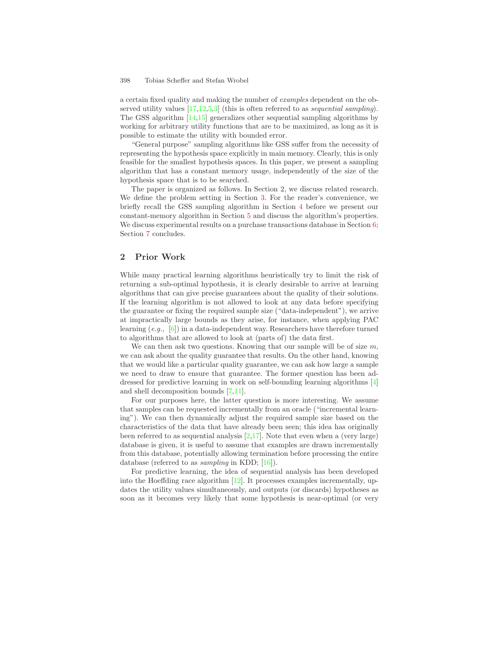<span id="page-1-0"></span>a certain fixed quality and making the number of *examples* dependent on the observed utility values [\[17](#page-12-0)[,12,](#page-11-0)[5,](#page-11-1)[3\]](#page-11-2) (this is often referred to as *sequential sampling*). The GSS algorithm [\[14](#page-12-1)[,15\]](#page-12-2) generalizes other sequential sampling algorithms by working for arbitrary utility functions that are to be maximized, as long as it is possible to estimate the utility with bounded error.

"General purpose" sampling algorithms like GSS suffer from the necessity of representing the hypothesis space explicitly in main memory.Clearly, this is only feasible for the smallest hypothesis spaces.In this paper, we present a sampling algorithm that has a constant memory usage, independently of the size of the hypothesis space that is to be searched.

The paper is organized as follows.In Section 2, we discuss related research. We define the problem setting in Section [3.](#page-2-0) For the reader's convenience, we briefly recall the GSS sampling algorithm in Section [4](#page-3-0) before we present our constant-memory algorithm in Section [5](#page-5-0) and discuss the algorithm's properties. We discuss experimental results on a purchase transactions database in Section [6;](#page-9-0) Section [7](#page-10-0) concludes.

## **2 Prior Work**

While many practical learning algorithms heuristically try to limit the risk of returning a sub-optimal hypothesis, it is clearly desirable to arrive at learning algorithms that can give precise guarantees about the quality of their solutions. If the learning algorithm is not allowed to look at any data before specifying the guarantee or fixing the required sample size ("data-independent"), we arrive at impractically large bounds as they arise, for instance, when applying PAC learning  $(e.g., [6])$  $(e.g., [6])$  $(e.g., [6])$  in a data-independent way. Researchers have therefore turned to algorithms that are allowed to look at (parts of) the data first.

We can then ask two questions. Knowing that our sample will be of size  $m$ , we can ask about the quality guarantee that results.On the other hand, knowing that we would like a particular quality guarantee, we can ask how large a sample we need to draw to ensure that guarantee. The former question has been addressed for predictive learning in work on self-bounding learning algorithms [\[4\]](#page-11-4) and shell decomposition bounds [\[7,](#page-11-5)[11\]](#page-11-6).

For our purposes here, the latter question is more interesting.We assume that samples can be requested incrementally from an oracle ("incremental learning").We can then dynamically adjust the required sample size based on the characteristics of the data that have already been seen; this idea has originally been referred to as sequential analysis  $[2,17]$  $[2,17]$ . Note that even when a (very large) database is given, it is useful to assume that examples are drawn incrementally from this database, potentially allowing termination before processing the entire database (referred to as *sampling* in KDD; [\[16\]](#page-12-3)).

For predictive learning, the idea of sequential analysis has been developed into the Hoeffding race algorithm  $[12]$ . It processes examples incrementally, updates the utility values simultaneously, and outputs (or discards) hypotheses as soon as it becomes very likely that some hypothesis is near-optimal (or very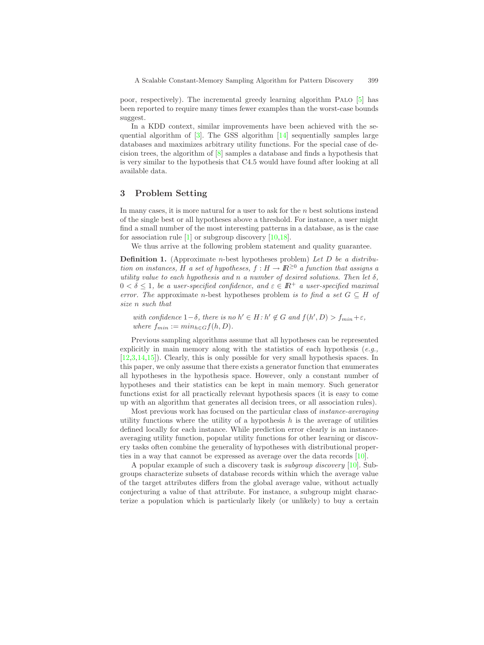<span id="page-2-1"></span>poor, respectively).The incremental greedy learning algorithm Palo [\[5\]](#page-11-1) has been reported to require many times fewer examples than the worst-case bounds suggest.

In a KDD context, similar improvements have been achieved with the sequential algorithm of  $[3]$ . The GSS algorithm  $[14]$  sequentially samples large databases and maximizes arbitrary utility functions. For the special case of decision trees, the algorithm of [\[8\]](#page-11-8) samples a database and finds a hypothesis that is very similar to the hypothesis that C4.5 would have found after looking at all available data.

## <span id="page-2-0"></span>**3 Problem Setting**

In many cases, it is more natural for a user to ask for the n best solutions instead of the single best or all hypotheses above a threshold.For instance, a user might find a small number of the most interesting patterns in a database, as is the case for association rule  $[1]$  or subgroup discovery  $[10,18]$  $[10,18]$ .

We thus arrive at the following problem statement and quality guarantee.

**Definition 1.** (Approximate n-best hypotheses problem) *Let* D *be a distribution on instances,* H *a set of hypotheses,*  $f : H \to \mathbb{R}^{\geq 0}$  *a function that assigns a utility value to each hypothesis and* n *a number of desired solutions. Then let* δ*,*  $0 < \delta \leq 1$ , be a user-specified confidence, and  $\varepsilon \in \mathbb{R}^+$  a user-specified maximal *error. The* approximate *n*-best hypotheses problem *is to find a set*  $G \subseteq H$  *of size* n *such that*

*with confidence*  $1-\delta$ *, there is no*  $h' \in H$ *:*  $h' \notin G$  *and*  $f(h', D) > f_{min} + \varepsilon$ *, where*  $f_{min} := min_{h \in G} f(h, D)$ .

Previous sampling algorithms assume that all hypotheses can be represented explicitly in main memory along with the statistics of each hypothesis (*e.g.,*  $[12,3,14,15]$  $[12,3,14,15]$  $[12,3,14,15]$  $[12,3,14,15]$ . Clearly, this is only possible for very small hypothesis spaces. In this paper, we only assume that there exists a generator function that enumerates all hypotheses in the hypothesis space.However, only a constant number of hypotheses and their statistics can be kept in main memory. Such generator functions exist for all practically relevant hypothesis spaces (it is easy to come up with an algorithm that generates all decision trees, or all association rules).

Most previous work has focused on the particular class of *instance-averaging* utility functions where the utility of a hypothesis  $h$  is the average of utilities defined locally for each instance.While prediction error clearly is an instanceaveraging utility function, popular utility functions for other learning or discovery tasks often combine the generality of hypotheses with distributional properties in a way that cannot be expressed as average over the data records [\[10\]](#page-11-10).

A popular example of such a discovery task is *subgroup discovery* [\[10\]](#page-11-10).Subgroups characterize subsets of database records within which the average value of the target attributes differs from the global average value, without actually conjecturing a value of that attribute.For instance, a subgroup might characterize a population which is particularly likely (or unlikely) to buy a certain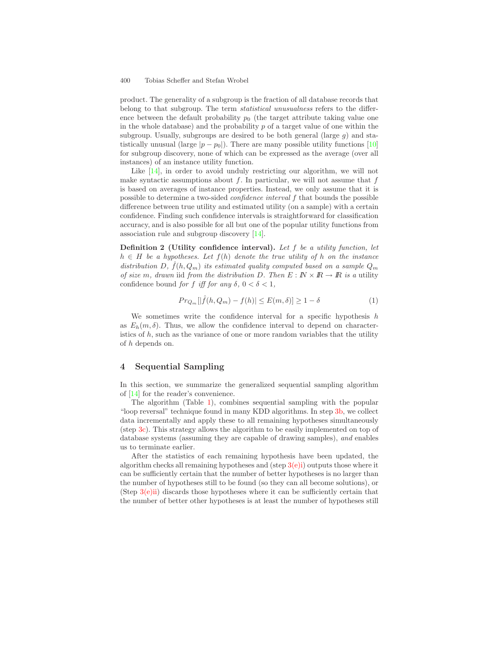<span id="page-3-2"></span>product.The generality of a subgroup is the fraction of all database records that belong to that subgroup.The term *statistical unusualness* refers to the difference between the default probability  $p_0$  (the target attribute taking value one in the whole database) and the probability  $p$  of a target value of one within the subgroup. Usually, subgroups are desired to be both general (large  $q$ ) and statistically unusual (large  $|p - p_0|$ ). There are many possible utility functions [\[10\]](#page-11-10) for subgroup discovery, none of which can be expressed as the average (over all instances) of an instance utility function.

Like  $[14]$ , in order to avoid unduly restricting our algorithm, we will not make syntactic assumptions about  $f$ . In particular, we will not assume that  $f$ is based on averages of instance properties.Instead, we only assume that it is possible to determine a two-sided *confidence interval* f that bounds the possible difference between true utility and estimated utility (on a sample) with a certain confidence.Finding such confidence intervals is straightforward for classification accuracy, and is also possible for all but one of the popular utility functions from association rule and subgroup discovery [\[14\]](#page-12-1).

**Definition 2 (Utility confidence interval).** *Let* f *be a utility function, let* h ∈ H *be a hypotheses. Let* f(h) *denote the true utility of* h *on the instance* distribution D,  $\hat{f}(h, Q_m)$  *its estimated quality computed based on a sample*  $Q_m$ *of size* m, drawn iid from the distribution D. Then  $E : \mathbb{N} \times \mathbb{R} \to \mathbb{R}$  is a utility confidence bound *for* f *iff* for any  $\delta$ ,  $0 < \delta < 1$ ,

$$
Pr_{Q_m}[|\hat{f}(h,Q_m) - f(h)| \le E(m,\delta)] \ge 1 - \delta
$$
\n(1)

<span id="page-3-1"></span>We sometimes write the confidence interval for a specific hypothesis h as  $E_h(m,\delta)$ . Thus, we allow the confidence interval to depend on characteristics of  $h$ , such as the variance of one or more random variables that the utility of h depends on.

## <span id="page-3-0"></span>**4 Sequential Sampling**

In this section, we summarize the generalized sequential sampling algorithm of [\[14\]](#page-12-1) for the reader's convenience.

The algorithm (Table [1\)](#page-4-0), combines sequential sampling with the popular "loop reversal" technique found in many KDD algorithms. In step [3b,](#page-4-1) we collect data incrementally and apply these to all remaining hypotheses simultaneously (step  $3c$ ). This strategy allows the algorithm to be easily implemented on top of database systems (assuming they are capable of drawing samples), *and* enables us to terminate earlier.

After the statistics of each remaining hypothesis have been updated, the algorithm checks all remaining hypotheses and (step  $3(e)i$ ) outputs those where it can be sufficiently certain that the number of better hypotheses is no larger than the number of hypotheses still to be found (so they can all become solutions), or (Step  $3(e)$ ii) discards those hypotheses where it can be sufficiently certain that the number of better other hypotheses is at least the number of hypotheses still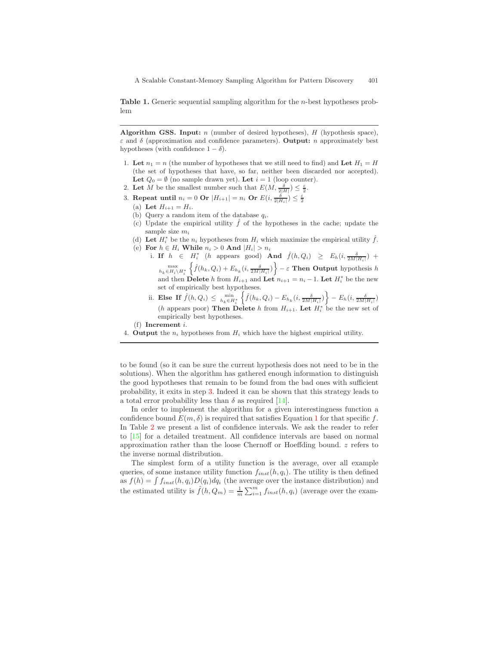<span id="page-4-7"></span><span id="page-4-0"></span>Table 1. Generic sequential sampling algorithm for the *n*-best hypotheses problem

**Algorithm GSS. Input:** n (number of desired hypotheses), H (hypothesis space),  $\varepsilon$  and  $\delta$  (approximation and confidence parameters). **Output:** *n* approximately best hypotheses (with confidence  $1 - \delta$ ).

- <span id="page-4-6"></span>1. Let  $n_1 = n$  (the number of hypotheses that we still need to find) and Let  $H_1 = H$ (the set of hypotheses that have, so far, neither been discarded nor accepted). Let  $Q_0 = \emptyset$  (no sample drawn yet). Let  $i = 1$  (loop counter).
- <span id="page-4-5"></span>2. Let M be the smallest number such that  $E(M, \frac{\delta}{2|H|}) \leq \frac{\varepsilon}{2}$ .
- <span id="page-4-3"></span><span id="page-4-2"></span><span id="page-4-1"></span>3. **Repeat until**  $n_i = 0$  **Or**  $|H_{i+1}| = n_i$  **Or**  $E(i, \frac{\delta}{2|H_i|}) \leq \frac{\varepsilon}{2}$ 
	- (a) **Let**  $H_{i+1} = H_i$ .
	- (b) Query a random item of the database  $q_i$ .
	- (c) Update the empirical utility  $\hat{f}$  of the hypotheses in the cache; update the sample size  $m_i$
	- (d) Let  $H_i^*$  be the  $n_i$  hypotheses from  $H_i$  which maximize the empirical utility  $\hat{f}$ .
	- (e) **For**  $h \in H_i$  **While**  $n_i > 0$  **And**  $|H_i| > n_i$ 
		- i. **If**  $h \in H_i^*$  (*h* appears good) **And**  $\hat{f}(h, Q_i) \geq E_h(i, \frac{\delta}{2M|H_i|}) +$  $h_k \in H_i \backslash H_i^*$  $\left\{\hat{f}(h_k, Q_i) + E_{h_k}(i, \frac{\delta}{2M|H_i|})\right\} - \varepsilon$  **Then Output** hypothesis h and then **Delete** h from  $H_{i+1}$  and **Let**  $n_{i+1} = n_i - 1$ . Let  $H_i^*$  be the new set of empirically best hypotheses.
		- ii. **Else If**  $\hat{f}(h, Q_i) \leq \min_{h_k \in H_i^*}$ Else If  $\hat{f}(h, Q_i) \leq \min_{h_k \in H_i^*} \left\{ \hat{f}(h_k, Q_i) - E_{h_k}(i, \frac{\delta}{2M|H_i|}) \right\} - E_h(i, \frac{\delta}{2M|H_i|})$ <br>(*h* appears poor) Then Delete *h* from  $H_{i+1}$ . Let  $H_i^*$  be the new set of empirically best hypotheses.

<span id="page-4-4"></span>4. **Output** the  $n_i$  hypotheses from  $H_i$  which have the highest empirical utility.

to be found (so it can be sure the current hypothesis does not need to be in the solutions).When the algorithm has gathered enough information to distinguish the good hypotheses that remain to be found from the bad ones with sufficient probability, it exits in step [3.](#page-4-5)Indeed it can be shown that this strategy leads to a total error probability less than  $\delta$  as required [\[14\]](#page-12-1).

In order to implement the algorithm for a given interestingness function a confidence bound  $E(m, \delta)$  is required that satisfies Equation [1](#page-3-1) for that specific f. In Table [2](#page-5-1) we present a list of confidence intervals.We ask the reader to refer to [\[15\]](#page-12-2) for a detailed treatment.All confidence intervals are based on normal approximation rather than the loose Chernoff or Hoeffding bound. z refers to the inverse normal distribution.

The simplest form of a utility function is the average, over all example queries, of some instance utility function  $f_{inst}(h, q_i)$ . The utility is then defined as  $f(h) = \int f_{inst}(h, q_i)D(q_i)dq_i$  (the average over the instance distribution) and the estimated utility is  $\hat{f}(h, Q_m) = \frac{1}{m} \sum_{i=1}^m f_{inst}(h, q_i)$  (average over the exam-

<sup>(</sup>f) **Increment** i.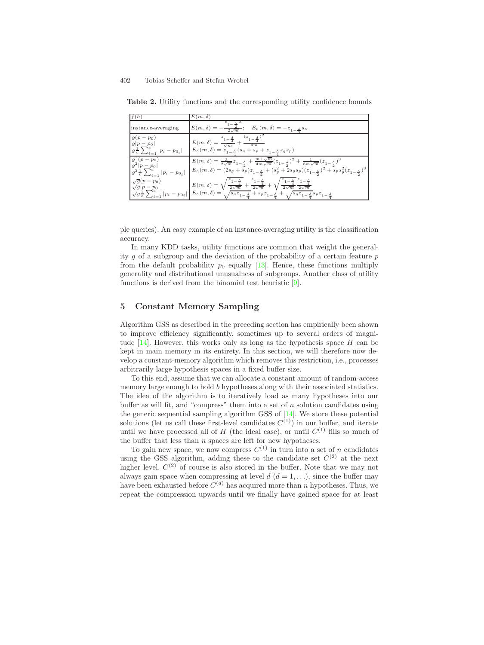| f(h)                                                                              | $E(m,\delta)$                                                                                                                                                                                                                                                                                                                                                                                                    |
|-----------------------------------------------------------------------------------|------------------------------------------------------------------------------------------------------------------------------------------------------------------------------------------------------------------------------------------------------------------------------------------------------------------------------------------------------------------------------------------------------------------|
| instance-averaging                                                                | $E(m,\delta) = -\frac{z_{1-\frac{\delta}{2}}}{2\sqrt{m}};$<br>$E_h(m,\delta) = -z_{1-\frac{\delta}{2}}s_h$                                                                                                                                                                                                                                                                                                       |
| $g(p-p_0)$<br>$ g p-p_0 $<br>$g\frac{1}{c}\sum_{i=1}^{c} p_i-p_{0_i} $            | $E(m,\delta) = \frac{z_{1-\frac{\delta}{4}}}{\sqrt{m}} + \frac{1}{\sqrt{m}}$<br>$E_h(m,\delta) = z_{1-\frac{\delta}{4}}(s_g + s_p + z_{1-\frac{\delta}{4}}s_g s_p)$                                                                                                                                                                                                                                              |
| $q^2(p-p_0)$<br>$ g^2 p-p_0 $<br>$g^2 \frac{1}{c} \sum_{i=1}^{c}  p_i - p_{0_i} $ | $E(m,\delta) = \frac{3}{2\sqrt{m}}z_{1-\frac{\delta}{2}} + \frac{m+\sqrt{m}}{4m\sqrt{m}}(z_{1-\frac{\delta}{2}})^2 + \frac{1}{8m\sqrt{m}}(z_{1-\frac{\delta}{2}})^3$<br>$E_h(m,\delta) = (2s_g + s_p)z_{1-\frac{\delta}{2}} + (s_g^2 + 2s_g s_p)(z_{1-\frac{\delta}{2}})^2 + s_p s_g^2 (z_{1-\frac{\delta}{2}})^3$                                                                                               |
| $\sqrt{g}(p-p_0)$<br>$\sqrt{g} p-p_0 $                                            | $E(m,\delta) = \sqrt{\frac{z_{1-\frac{\delta}{4}}}{2\sqrt{m}}} + \frac{z_{1-\frac{\delta}{4}}}{2\sqrt{m}} + \sqrt{\frac{z_{1-\frac{\delta}{4}}}{2\sqrt{m}}} \frac{z_{1-\frac{\delta}{4}}}{2\sqrt{m}}$<br>$\sqrt{g\frac{1}{c}\sum_{i=1}^{c} p_i-p_{0_i} }\left E_h(m,\delta)=\sqrt{s_{g}z_{1-\frac{\delta}{4}}}+s_{p}z_{1-\frac{\delta}{4}}+\sqrt{s_{g}z_{1-\frac{\delta}{4}}}s_{p}z_{1-\frac{\delta}{4}}\right $ |

<span id="page-5-2"></span><span id="page-5-1"></span>**Table 2.** Utility functions and the corresponding utility confidence bounds

ple queries).An easy example of an instance-averaging utility is the classification accuracy.

In many KDD tasks, utility functions are common that weight the generality q of a subgroup and the deviation of the probability of a certain feature  $p$ from the default probability  $p_0$  equally [\[13\]](#page-12-5). Hence, these functions multiply generality and distributional unusualness of subgroups.Another class of utility functions is derived from the binomial test heuristic [\[9\]](#page-11-11).

### <span id="page-5-0"></span>**5 Constant Memory Sampling**

Algorithm GSS as described in the preceding section has empirically been shown to improve efficiency significantly, sometimes up to several orders of magni-tude [\[14\]](#page-12-1). However, this works only as long as the hypothesis space H can be kept in main memory in its entirety. In this section, we will therefore now develop a constant-memory algorithm which removes this restriction, i.e., processes arbitrarily large hypothesis spaces in a fixed buffer size.

To this end, assume that we can allocate a constant amount of random-access memory large enough to hold b hypotheses along with their associated statistics. The idea of the algorithm is to iteratively load as many hypotheses into our buffer as will fit, and "compress" them into a set of  $n$  solution candidates using the generic sequential sampling algorithm GSS of  $[14]$ . We store these potential solutions (let us call these first-level candidates  $C^{(1)}$ ) in our buffer, and iterate until we have processed all of H (the ideal case), or until  $C^{(1)}$  fills so much of the buffer that less than  $n$  spaces are left for new hypotheses.

To gain new space, we now compress  $C^{(1)}$  in turn into a set of n candidates using the GSS algorithm, adding these to the candidate set  $C^{(2)}$  at the next higher level.  $C^{(2)}$  of course is also stored in the buffer. Note that we may not always gain space when compressing at level  $d$   $(d = 1, \ldots)$ , since the buffer may have been exhausted before  $C^{(d)}$  has acquired more than n hypotheses. Thus, we repeat the compression upwards until we finally have gained space for at least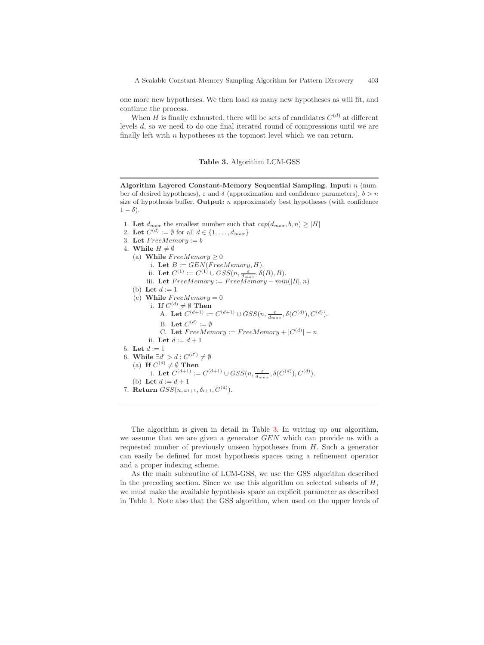one more new hypotheses.We then load as many new hypotheses as will fit, and continue the process.

When H is finally exhausted, there will be sets of candidates  $C^{(d)}$  at different levels d, so we need to do one final iterated round of compressions until we are finally left with  $n$  hypotheses at the topmost level which we can return.

#### **Table 3.** Algorithm LCM-GSS

**Algorithm Layered Constant-Memory Sequential Sampling. Input:** n (number of desired hypotheses),  $\varepsilon$  and  $\delta$  (approximation and confidence parameters),  $b > n$ size of hypothesis buffer. **Output:** n approximately best hypotheses (with confidence  $1 - \delta$ ).

<span id="page-6-5"></span><span id="page-6-4"></span><span id="page-6-3"></span><span id="page-6-2"></span><span id="page-6-1"></span>1. Let  $d_{max}$  the smallest number such that  $cap(d_{max}, b, n) \geq |H|$ 2. **Let**  $C^{(d)} := \emptyset$  for all  $d \in \{1, \ldots, d_{max}\}\$ 3. Let  $FreeMemory := b$ 4. **While**  $H \neq \emptyset$ (a) **While**  $FreeMemory \geq 0$ i. Let  $B := GEN(FreeMemory, H)$ . ii. Let  $C^{(1)} := C^{(1)} \cup GSS(n, \frac{\varepsilon}{d_{max}}, \delta(B), B)$ .<br>iii. Let  $FreeMemory = FreeMemory - min(|B|, n)$ (b) Let  $d := 1$ (c) **While**  $FreeMemory = 0$ i. **If**  $C^{(d)} \neq \emptyset$  **Then** A. Let  $C^{(d+1)} := C^{(d+1)} \cup GSS(n, \frac{\varepsilon}{d_{max}}, \delta(C^{(d)}), C^{(d)}).$ B. **Let**  $C^{(d)} := \emptyset$ C. Let  $FreeMemory := FreeMemory + |C^{(d)}| - n$ ii. **Let**  $d := d + 1$ 5. Let  $d := 1$ 6. **While**  $\exists d' > d : C^{(d')} \neq \emptyset$ (a) **If**  $C^{(d)} \neq \emptyset$  **Then** i. Let  $C^{(d+1)} := C^{(d+1)} \cup GSS(n, \frac{\varepsilon}{d_{max}}, \delta(C^{(d)}), C^{(d)}).$ <br>et  $d := d + 1$ (b) **Let**  $d := d + 1$ 7. **Return**  $GSS(n, \varepsilon_{i+1}, \delta_{i+1}, C^{(d)})$ .

<span id="page-6-0"></span>The algorithm is given in detail in Table [3.](#page-6-0)In writing up our algorithm, we assume that we are given a generator GEN which can provide us with a requested number of previously unseen hypotheses from  $H$ . Such a generator can easily be defined for most hypothesis spaces using a refinement operator and a proper indexing scheme.

As the main subroutine of LCM-GSS, we use the GSS algorithm described in the preceding section. Since we use this algorithm on selected subsets of  $H$ , we must make the available hypothesis space an explicit parameter as described in Table [1.](#page-4-0) Note also that the GSS algorithm, when used on the upper levels of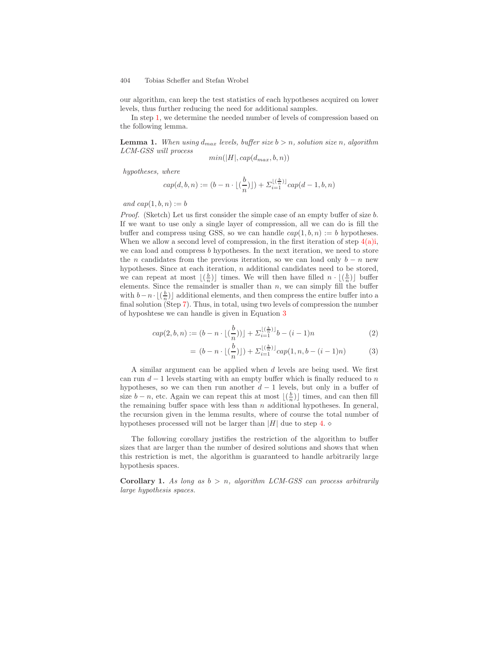our algorithm, can keep the test statistics of each hypotheses acquired on lower levels, thus further reducing the need for additional samples.

In step [1,](#page-6-1) we determine the needed number of levels of compression based on the following lemma.

**Lemma 1.** When using  $d_{max}$  levels, buffer size  $b > n$ , solution size n, algorithm *LCM-GSS will process*

$$
min(|H|, cap(d_{max}, b, n))
$$

*hypotheses, where*

$$
cap(d, b, n) := (b - n \cdot \lfloor (\frac{b}{n}) \rfloor) + \sum_{i=1}^{\lfloor (\frac{b}{n}) \rfloor} cap(d - 1, b, n)
$$

*and*  $cap(1, b, n) := b$ 

*Proof.* (Sketch) Let us first consider the simple case of an empty buffer of size b. If we want to use only a single layer of compression, all we can do is fill the buffer and compress using GSS, so we can handle  $cap(1, b, n) := b$  hypotheses. When we allow a second level of compression, in the first iteration of step  $4(a)i$ , we can load and compress b hypotheses. In the next iteration, we need to store the n candidates from the previous iteration, so we can load only  $b - n$  new hypotheses. Since at each iteration,  $n$  additional candidates need to be stored, we can repeat at most  $\lfloor(\frac{b}{n})\rfloor$  times. We will then have filled  $n \cdot \lfloor(\frac{b}{n})\rfloor$  buffer elements. Since the remainder is smaller than  $n$ , we can simply fill the buffer with  $b-n \cdot \lfloor(\frac{b}{n})\rfloor$  additional elements, and then compress the entire buffer into a final solution (Step [7\)](#page-6-0). Thus, in total, using two levels of compression the number of hyposhtese we can handle is given in Equation [3](#page-7-0)

$$
cap(2, b, n) := (b - n \cdot \lfloor \left(\frac{b}{n}\right) \rfloor) + \sum_{i=1}^{\lfloor \left(\frac{b}{n}\right) \rfloor} b - (i - 1)n
$$
\n(2)

$$
= (b - n \cdot \lfloor (\frac{b}{n}) \rfloor) + \sum_{i=1}^{\lfloor (\frac{b}{n}) \rfloor} cap(1, n, b - (i - 1)n)
$$
 (3)

<span id="page-7-0"></span>A similar argument can be applied when  $d$  levels are being used. We first can run  $d-1$  levels starting with an empty buffer which is finally reduced to n hypotheses, so we can then run another  $d-1$  levels, but only in a buffer of size  $b - n$ , etc. Again we can repeat this at most  $\lfloor(\frac{b}{n})\rfloor$  times, and can then fill the remaining buffer space with less than  $n$  additional hypotheses. In general, the recursion given in the lemma results, where of course the total number of hypotheses processed will not be larger than |H| due to step [4.](#page-6-3)  $\diamond$ 

The following corollary justifies the restriction of the algorithm to buffer sizes that are larger than the number of desired solutions and shows that when this restriction is met, the algorithm is guaranteed to handle arbitrarily large hypothesis spaces.

**Corollary 1.** As long as  $b > n$ , algorithm LCM-GSS can process arbitrarily *large hypothesis spaces.*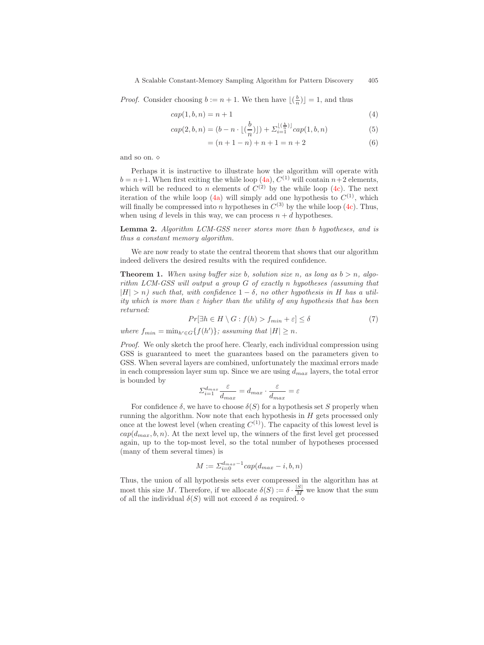*Proof.* Consider choosing  $b := n + 1$ . We then have  $\lfloor \left( \frac{b}{n} \right) \rfloor = 1$ , and thus

$$
cap(1, b, n) = n + 1 \tag{4}
$$

$$
cap(2, b, n) = (b - n \cdot \lfloor(\frac{b}{n})\rfloor) + \sum_{i=1}^{\lfloor(\frac{b}{n})\rfloor} cap(1, b, n)
$$
\n
$$
(5)
$$

$$
= (n + 1 - n) + n + 1 = n + 2 \tag{6}
$$

and so on.  $\diamond$ 

Perhaps it is instructive to illustrate how the algorithm will operate with  $b = n+1$ . When first exiting the while loop [\(4a\)](#page-6-4),  $C^{(1)}$  will contain  $n+2$  elements, which will be reduced to n elements of  $C^{(2)}$  by the while loop [\(4c\)](#page-6-5). The next iteration of the while loop [\(4a\)](#page-6-4) will simply add one hypothesis to  $C^{(1)}$ , which will finally be compressed into n hypotheses in  $C^{(3)}$  by the while loop [\(4c\)](#page-6-5). Thus, when using d levels in this way, we can process  $n + d$  hypotheses.

**Lemma 2.** *Algorithm LCM-GSS never stores more than* b *hypotheses, and is thus a constant memory algorithm.*

We are now ready to state the central theorem that shows that our algorithm indeed delivers the desired results with the required confidence.

**Theorem 1.** When using buffer size b, solution size n, as long as  $b > n$ , algo*rithm LCM-GSS will output a group* G *of exactly* n *hypotheses (assuming that*  $|H| > n$ ) such that, with confidence  $1 - \delta$ , no other hypothesis in H has a util*ity which is more than* ε *higher than the utility of any hypothesis that has been returned:*

$$
Pr[\exists h \in H \setminus G : f(h) > f_{min} + \varepsilon] \le \delta \tag{7}
$$

*where*  $f_{min} = \min_{h' \in G} \{f(h')\}$ *; assuming that*  $|H| \geq n$ *.* 

*Proof.* We only sketch the proof here. Clearly, each individual compression using GSS is guaranteed to meet the guarantees based on the parameters given to GSS.When several layers are combined, unfortunately the maximal errors made in each compression layer sum up. Since we are using  $d_{max}$  layers, the total error is bounded by

$$
\varSigma _{i=1}^{d_{max}}\frac{\varepsilon}{d_{max}}=d_{max}\cdot \frac{\varepsilon}{d_{max}}=\varepsilon
$$

For confidence  $\delta$ , we have to choose  $\delta(S)$  for a hypothesis set S properly when running the algorithm. Now note that each hypothesis in  $H$  gets processed only once at the lowest level (when creating  $C^{(1)}$ ). The capacity of this lowest level is  $cap(d_{max}, b, n)$ . At the next level up, the winners of the first level get processed again, up to the top-most level, so the total number of hypotheses processed (many of them several times) is

$$
M := \sum_{i=0}^{d_{max}-1} cap(d_{max} - i, b, n)
$$

Thus, the union of all hypothesis sets ever compressed in the algorithm has at most this size M. Therefore, if we allocate  $\delta(S) := \delta \cdot \frac{|S|}{M}$  we know that the sum of all the individual  $\delta(S)$  will not exceed  $\delta$  as required.  $\diamond$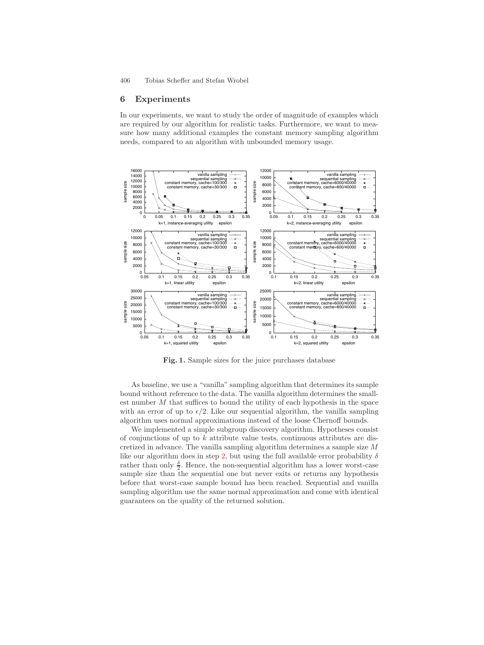## <span id="page-9-0"></span>**6 Experiments**

In our experiments, we want to study the order of magnitude of examples which are required by our algorithm for realistic tasks. Furthermore, we want to measure how many additional examples the constant memory sampling algorithm needs, compared to an algorithm with unbounded memory usage.

<span id="page-9-1"></span>

**Fig. 1.** Sample sizes for the juice purchases database

As baseline, we use a "vanilla" sampling algorithm that determines its sample bound without reference to the data.The vanilla algorithm determines the smallest number  $M$  that suffices to bound the utility of each hypothesis in the space with an error of up to  $\epsilon/2$ . Like our sequential algorithm, the vanilla sampling algorithm uses normal approximations instead of the loose Chernoff bounds.

We implemented a simple subgroup discovery algorithm. Hypotheses consist of conjunctions of up to  $k$  attribute value tests, continuous attributes are discretized in advance. The vanilla sampling algorithm determines a sample size  $M$ like our algorithm does in step [2,](#page-4-6) but using the full available error probability  $\delta$ rather than only  $\frac{\delta}{2}$ . Hence, the non-sequential algorithm has a lower worst-case sample size than the sequential one but never exits or returns any hypothesis before that worst-case sample bound has been reached. Sequential and vanilla sampling algorithm use the same normal approximation and come with identical guarantees on the quality of the returned solution.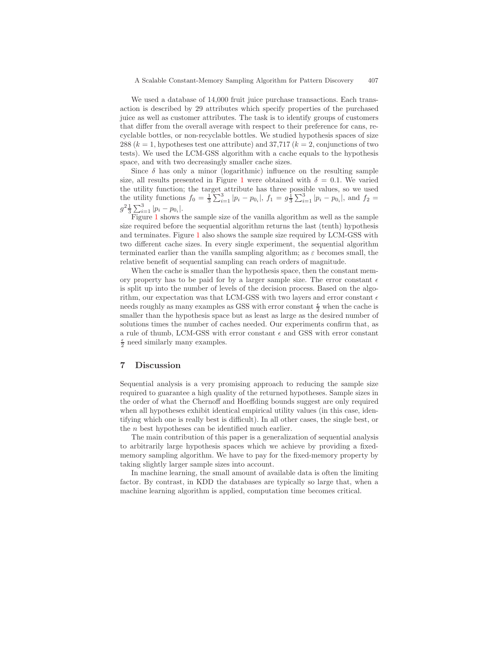We used a database of 14,000 fruit juice purchase transactions. Each transaction is described by 29 attributes which specify properties of the purchased juice as well as customer attributes.The task is to identify groups of customers that differ from the overall average with respect to their preference for cans, recyclable bottles, or non-recyclable bottles.We studied hypothesis spaces of size 288 ( $k = 1$ , hypotheses test one attribute) and 37,717 ( $k = 2$ , conjunctions of two tests).We used the LCM-GSS algorithm with a cache equals to the hypothesis space, and with two decreasingly smaller cache sizes.

Since  $\delta$  has only a minor (logarithmic) influence on the resulting sample size, all results presented in Figure [1](#page-9-1) were obtained with  $\delta = 0.1$ . We varied the utility function; the target attribute has three possible values, so we used the utility functions  $f_0 = \frac{1}{3} \sum_{i=1}^3 |p_i - p_{0_i}|$ ,  $f_1 = g \frac{1}{3} \sum_{i=1}^3 |p_i - p_{0_i}|$ , and  $f_2 =$  $g^2 \frac{1}{3} \sum_{i=1}^3 |p_i - p_{0_i}|.$ 

Figure [1](#page-9-1) shows the sample size of the vanilla algorithm as well as the sample size required before the sequential algorithm returns the last (tenth) hypothesis and terminates.Figure [1](#page-9-1) also shows the sample size required by LCM-GSS with two different cache sizes.In every single experiment, the sequential algorithm terminated earlier than the vanilla sampling algorithm; as  $\varepsilon$  becomes small, the relative benefit of sequential sampling can reach orders of magnitude.

When the cache is smaller than the hypothesis space, then the constant memory property has to be paid for by a larger sample size. The error constant  $\epsilon$ is split up into the number of levels of the decision process.Based on the algorithm, our expectation was that LCM-GSS with two layers and error constant  $\epsilon$ needs roughly as many examples as GSS with error constant  $\frac{\epsilon}{2}$  when the cache is smaller than the hypothesis space but as least as large as the desired number of solutions times the number of caches needed. Our experiments confirm that, as a rule of thumb, LCM-GSS with error constant  $\epsilon$  and GSS with error constant  $\frac{\epsilon}{2}$  need similarly many examples.

## <span id="page-10-0"></span>**7 Discussion**

Sequential analysis is a very promising approach to reducing the sample size required to guarantee a high quality of the returned hypotheses. Sample sizes in the order of what the Chernoff and Hoeffding bounds suggest are only required when all hypotheses exhibit identical empirical utility values (in this case, identifying which one is really best is difficult).In all other cases, the single best, or the n best hypotheses can be identified much earlier.

The main contribution of this paper is a generalization of sequential analysis to arbitrarily large hypothesis spaces which we achieve by providing a fixedmemory sampling algorithm.We have to pay for the fixed-memory property by taking slightly larger sample sizes into account.

In machine learning, the small amount of available data is often the limiting factor.By contrast, in KDD the databases are typically so large that, when a machine learning algorithm is applied, computation time becomes critical.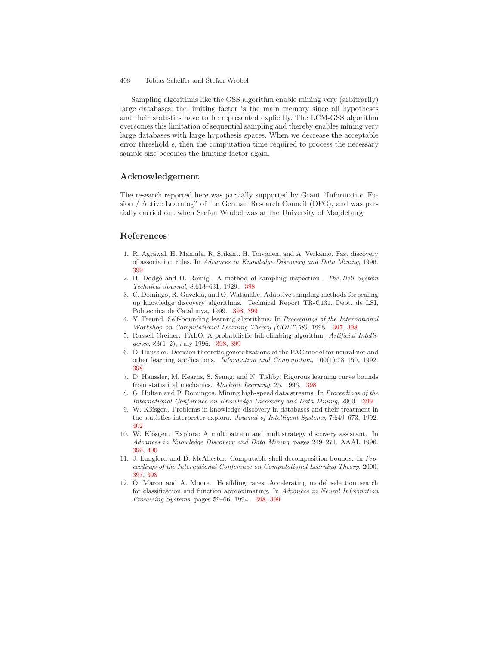Sampling algorithms like the GSS algorithm enable mining very (arbitrarily) large databases; the limiting factor is the main memory since all hypotheses and their statistics have to be represented explicitly.The LCM-GSS algorithm overcomes this limitation of sequential sampling and thereby enables mining very large databases with large hypothesis spaces.When we decrease the acceptable error threshold  $\epsilon$ , then the computation time required to process the necessary sample size becomes the limiting factor again.

#### **Acknowledgement**

The research reported here was partially supported by Grant "Information Fusion / Active Learning" of the German Research Council (DFG), and was partially carried out when Stefan Wrobel was at the University of Magdeburg.

#### <span id="page-11-9"></span>**References**

- <span id="page-11-7"></span>1. R. Agrawal, H. Mannila, R. Srikant, H. Toivonen, and A. Verkamo. Fast discovery of association rules. In *Advances in Knowledge Discovery and Data Mining*, 1996. [399](#page-2-1)
- <span id="page-11-2"></span>2. H. Dodge and H. Romig. A method of sampling inspection. *The Bell System Technical Journal*, 8:613–631, 1929. [398](#page-1-0)
- 3. C. Domingo, R. Gavelda, and O. Watanabe. Adaptive sampling methods for scaling up knowledge discovery algorithms. Technical Report TR-C131, Dept. de LSI, Politecnica de Catalunya, 1999. [398,](#page-1-0) [399](#page-2-1)
- <span id="page-11-4"></span><span id="page-11-1"></span>4. Y. Freund. Self-bounding learning algorithms. In *Proceedings of the International Workshop on Computational Learning Theory (COLT-98)*, 1998. [397,](#page-0-0) [398](#page-1-0)
- <span id="page-11-3"></span>5. Russell Greiner. PALO: A probabilistic hill-climbing algorithm. *Artificial Intelligence*, 83(1–2), July 1996. [398,](#page-1-0) [399](#page-2-1)
- <span id="page-11-5"></span>6. D. Haussler. Decision theoretic generalizations of the PAC model for neural net and other learning applications. *Information and Computation*, 100(1):78–150, 1992. [398](#page-1-0)
- <span id="page-11-8"></span>7. D. Haussler, M. Kearns, S. Seung, and N. Tishby. Rigorous learning curve bounds from statistical mechanics. *Machine Learning*, 25, 1996. [398](#page-1-0)
- <span id="page-11-11"></span>8. G. Hulten and P. Domingos. Mining high-speed data streams. In *Proceedings of the International Conference on Knowledge Discovery and Data Mining*, 2000. [399](#page-2-1)
- 9. W. Klösgen. Problems in knowledge discovery in databases and their treatment in the statistics interpreter explora. *Journal of Intelligent Systems*, 7:649–673, 1992. [402](#page-5-2)
- <span id="page-11-10"></span>10. W. Klösgen. Explora: A multipattern and multistrategy discovery assistant. In *Advances in Knowledge Discovery and Data Mining*, pages 249–271. AAAI, 1996. [399,](#page-2-1) [400](#page-3-2)
- <span id="page-11-6"></span>11. J. Langford and D. McAllester. Computable shell decomposition bounds. In *Proceedings of the International Conference on Computational Learning Theory*, 2000. [397,](#page-0-0) [398](#page-1-0)
- <span id="page-11-0"></span>12. O. Maron and A. Moore. Hoeffding races: Accelerating model selection search for classification and function approximating. In *Advances in Neural Information Processing Systems*, pages 59–66, 1994. [398,](#page-1-0) [399](#page-2-1)